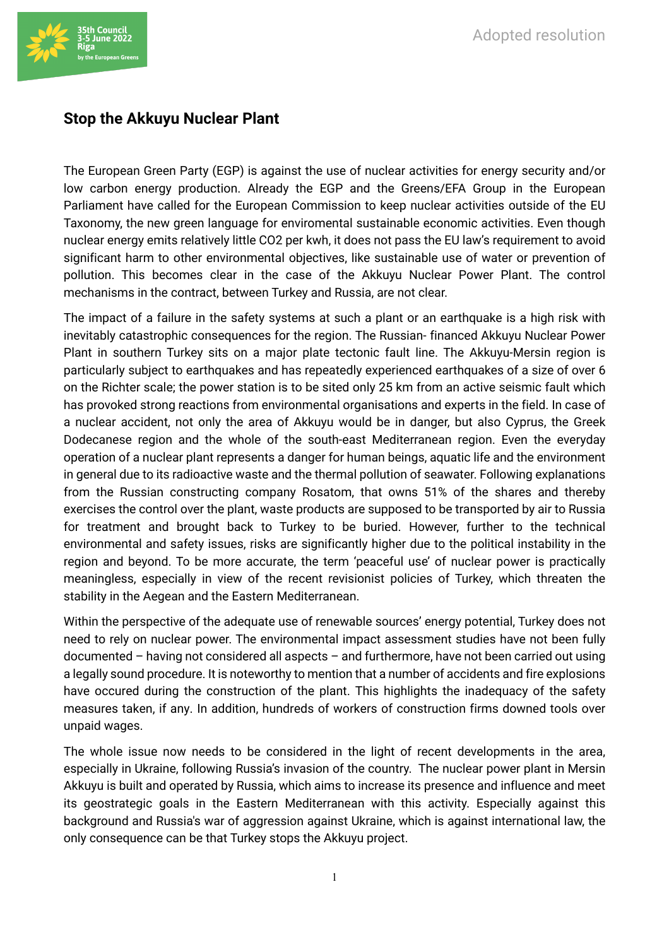

## **Stop the Akkuyu Nuclear Plant**

The European Green Party (EGP) is against the use of nuclear activities for energy security and/or low carbon energy production. Already the EGP and the Greens/EFA Group in the European Parliament have called for the European Commission to keep nuclear activities outside of the EU Taxonomy, the new green language for enviromental sustainable economic activities. Even though nuclear energy emits relatively little CO2 per kwh, it does not pass the EU law's requirement to avoid significant harm to other environmental objectives, like sustainable use of water or prevention of pollution. This becomes clear in the case of the Akkuyu Nuclear Power Plant. The control mechanisms in the contract, between Turkey and Russia, are not clear.

The impact of a failure in the safety systems at such a plant or an earthquake is a high risk with inevitably catastrophic consequences for the region. The Russian- financed Akkuyu Nuclear Power Plant in southern Turkey sits on a major plate tectonic fault line. The Akkuyu-Mersin region is particularly subject to earthquakes and has repeatedly experienced earthquakes of a size of over 6 on the Richter scale; the power station is to be sited only 25 km from an active seismic fault which has provoked strong reactions from environmental organisations and experts in the field. In case of a nuclear accident, not only the area of Akkuyu would be in danger, but also Cyprus, the Greek Dodecanese region and the whole of the south-east Mediterranean region. Even the everyday operation of a nuclear plant represents a danger for human beings, aquatic life and the environment in general due to its radioactive waste and the thermal pollution of seawater. Following explanations from the Russian constructing company Rosatom, that owns 51% of the shares and thereby exercises the control over the plant, waste products are supposed to be transported by air to Russia for treatment and brought back to Turkey to be buried. However, further to the technical environmental and safety issues, risks are significantly higher due to the political instability in the region and beyond. To be more accurate, the term 'peaceful use' of nuclear power is practically meaningless, especially in view of the recent revisionist policies of Turkey, which threaten the stability in the Aegean and the Eastern Mediterranean.

Within the perspective of the adequate use of renewable sources' energy potential, Turkey does not need to rely on nuclear power. The environmental impact assessment studies have not been fully documented – having not considered all aspects – and furthermore, have not been carried out using a legally sound procedure. It is noteworthy to mention that a number of accidents and fire explosions have occured during the construction of the plant. This highlights the inadequacy of the safety measures taken, if any. In addition, hundreds of workers of construction firms downed tools over unpaid wages.

The whole issue now needs to be considered in the light of recent developments in the area, especially in Ukraine, following Russia's invasion of the country. The nuclear power plant in Mersin Akkuyu is built and operated by Russia, which aims to increase its presence and influence and meet its geostrategic goals in the Eastern Mediterranean with this activity. Especially against this background and Russia's war of aggression against Ukraine, which is against international law, the only consequence can be that Turkey stops the Akkuyu project.